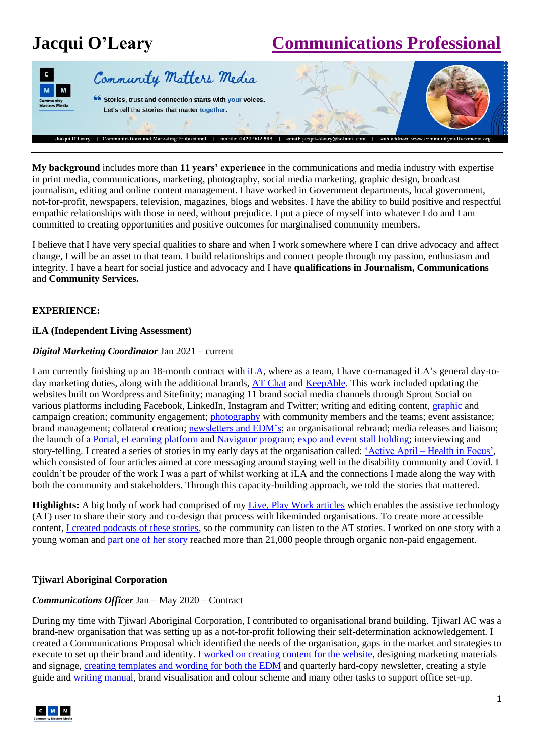# **Jacqui O'Leary [Communications Professional](https://www.linkedin.com/in/jacqui-o-leary-4b911a42/)**



**My background** includes more than **11 years' experience** in the communications and media industry with expertise in print media, communications, marketing, photography, social media marketing, graphic design, broadcast journalism, editing and online content management. I have worked in Government departments, local government, not-for-profit, newspapers, television, magazines, blogs and websites. I have the ability to build positive and respectful empathic relationships with those in need, without prejudice. I put a piece of myself into whatever I do and I am committed to creating opportunities and positive outcomes for marginalised community members.

I believe that I have very special qualities to share and when I work somewhere where I can drive advocacy and affect change, I will be an asset to that team. I build relationships and connect people through my passion, enthusiasm and integrity. I have a heart for social justice and advocacy and I have **qualifications in Journalism, Communications**  and **Community Services.**

# **EXPERIENCE:**

# **iLA (Independent Living Assessment)**

# *Digital Marketing Coordinator* Jan 2021 – current

I am currently finishing up an 18-month contract with [iLA,](https://www.ilaustralia.org.au/) where as a team, I have co-managed iLA's general day-to-day marketing duties, along with the additional brands, [AT Chat](https://www.atchat.com.au/) and [KeepAble.](https://keepable.com.au/) This work included updating the websites built on Wordpress and Sitefinity; managing 11 brand social media channels through Sprout Social on various platforms including Facebook, LinkedIn, Instagram and Twitter; writing and editing content, [graphic](https://www.facebook.com/ilaustralia/posts/255776736389986) and campaign creation; community engagement; [photography](https://www.facebook.com/atchatwithus/posts/3813077545475179) with community members and the teams; event assistance; brand management; collateral creation; [newsletters and EDM's;](https://d05ea6724def4d3894e19261c73859b3.marketingusercontent.com/m/view/b9xxRqCuZv4n1d4IUnXxRTXb5O4IVfwZrtPc87MlbJsx) an organisational rebrand; media releases and liaison; the launch of a [Portal,](https://www.atchat.com.au/your-portal) [eLearning platform](https://www.atchat.com.au/your-portal/at-discover) and [Navigator program;](https://www.atchat.com.au/your-portal/at-navigators) [expo and event stall holding;](https://www.facebook.com/media/set/?set=a.2678346815614930&type=3) interviewing and story-telling. I created a series of stories in my early days at the organisation called: 'Active April – [Health in Focus',](https://www.atchat.com.au/your-resources/active-april) which consisted of four articles aimed at core messaging around staying well in the disability community and Covid. I couldn't be prouder of the work I was a part of whilst working at iLA and the connections I made along the way with both the community and stakeholders. Through this capacity-building approach, we told the stories that mattered.

**Highlights:** A big body of work had comprised of my [Live, Play Work articles](https://www.atchat.com.au/your-stories/live-play-work) which enables the assistive technology (AT) user to share their story and co-design that process with likeminded organisations. To create more accessible content, [I created podcasts of these stories,](https://www.buzzsprout.com/1852608) so the community can listen to the AT stories. I worked on one story with a young woman and [part one of her story](https://www.atchat.com.au/your-stories/live-play-work/emmas-at-live-play-work) reached more than 21,000 people through organic non-paid engagement.

# **Tjiwarl Aboriginal Corporation**

# *Communications Officer* Jan – May 2020 – Contract

During my time with Tjiwarl Aboriginal Corporation, I contributed to organisational brand building. Tjiwarl AC was a brand-new organisation that was setting up as a not-for-profit following their self-determination acknowledgement. I created a Communications Proposal which identified the needs of the organisation, gaps in the market and strategies to execute to set up their brand and identity. I [worked on creating content for the website,](https://tjiwarl.org.au/) designing marketing materials and signage[, creating templates](https://tjiwarlaboriginalcorporation.createsend.com/campaigns/reports/viewCampaign.aspx?d=t&c=A3CECF5E59BEF4DE&ID=55075851ED3F67FD2540EF23F30FEDED&temp=False&tx=0&source=CampaignSent) and wording for both the EDM and quarterly hard-copy newsletter, creating a style guide and [writing manual,](https://communitymattersmedia.org/wp-content/uploads/2022/06/200423-Tjiwarl-Writing-Guide-draft-PDF.pdf) brand visualisation and colour scheme and many other tasks to support office set-up.

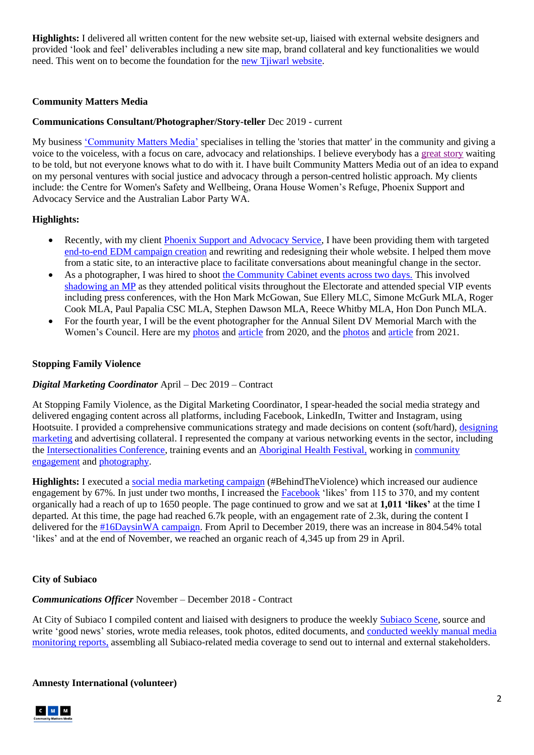**Highlights:** I delivered all written content for the new website set-up, liaised with external website designers and provided 'look and feel' deliverables including a new site map, brand collateral and key functionalities we would need. This went on to become the foundation for the [new Tjiwarl website.](https://tjiwarl.org.au/)

# **Community Matters Media**

# **Communications Consultant/Photographer/Story-teller** Dec 2019 - current

My business ['Community Matters Media'](https://communitymattersmedia.org/) specialises in telling the 'stories that matter' in the community and giving a voice to the voiceless, with a focus on care, advocacy and relationships. I believe everybody has [a great story](https://communitymattersmedia.org/wp-content/uploads/2022/06/Jacqui-OLeary-DIgital-Portfolio.pdf) waiting to be told, but not everyone knows what to do with it. I have built Community Matters Media out of an idea to expand on my personal ventures with social justice and advocacy through a person-centred holistic approach. My clients include: the Centre for Women's Safety and Wellbeing, Orana House Women's Refuge, Phoenix Support and Advocacy Service and the Australian Labor Party WA.

# **Highlights:**

- Recently, with my client [Phoenix Support and Advocacy Service,](https://www.phoenix.asn.au/) I have been providing them with targeted [end-to-end EDM campaign creation](https://phoenixsupportadvocacyservice.createsend.com/campaigns/reports/viewCampaign.aspx?d=y&c=05D69C3DDFE4A72D&ID=586CC809B365A9652540EF23F30FEDED&temp=False&tx=0&source=Report) and rewriting and redesigning their whole website. I helped them move from a static site, to an interactive place to facilitate conversations about meaningful change in the sector.
- As a photographer, I was hired to shoot [the Community Cabinet events across two days.](https://drive.google.com/drive/folders/1chkoXau5eGUGSF_atTXghdNID1FpgjNp?usp=sharing) This involved [shadowing an](https://www.facebook.com/permalink.php?story_fbid=1266209117173760&id=100013540503628) MP as they attended political visits throughout the Electorate and attended special VIP events including press conferences, with the Hon Mark McGowan, Sue Ellery MLC, Simone McGurk MLA, Roger Cook MLA, Paul Papalia CSC MLA, Stephen Dawson MLA, Reece Whitby MLA, Hon Don Punch MLA.
- For the fourth year, I will be the event photographer for the Annual Silent DV Memorial March with the Women's Council. Here are my [photos](https://drive.google.com/drive/folders/1OPiAfsQ9XLW_G0wihQFT2MBRl4FG49zG) an[d article](https://communitymattersmedia.org/2020/12/03/we-march-through-30-years-of-silence-and-30-years-of-solidarity-30th-annual-silent-domestic-violence-memorial-march/) from 2020, and the photos and [article](https://communitymattersmedia.org/2021/12/14/31-years-of-silence-we-stand-31st-annual-silent-domestic-violence-memorial-march/) from 2021.

# **Stopping Family Violence**

#### *Digital Marketing Coordinator* April – Dec 2019 – Contract

At Stopping Family Violence, as the Digital Marketing Coordinator, I spear-headed the social media strategy and delivered engaging content across all platforms, including Facebook, LinkedIn, Twitter and Instagram, using Hootsuite. I provided a comprehensive communications strategy and made decisions on content (soft/hard), [designing](https://communitymattersmedia.org/wp-content/uploads/2022/06/SFV-Training-Portfolio.pdf)  [marketing](https://communitymattersmedia.org/wp-content/uploads/2022/06/SFV-Training-Portfolio.pdf) and advertising collateral. I represented the company at various networking events in the sector, including the [Intersectionalities Conference,](https://sfv.org.au/2019/10/23/intersectionalities-in-dv-and-why-it-matters/) training events and an [Aboriginal Health Festival,](https://www.facebook.com/pg/stoppingfamilyviolenceinc/photos/?tab=album&album_id=1313000742211505&__tn__=-UC-R) working in [community](https://sfv.org.au/2019/11/26/our-hearts-are-heavy-as-we-march-in-silence-29th-annual-silent-domestic-violence-memorial-march/)  [engagement](https://sfv.org.au/2019/11/26/our-hearts-are-heavy-as-we-march-in-silence-29th-annual-silent-domestic-violence-memorial-march/) and [photography.](https://www.facebook.com/pg/stoppingfamilyviolenceinc/photos/?tab=album&album_id=1202311349947112)

**Highlights:** I executed a [social media marketing campaign](https://www.facebook.com/stoppingfamilyviolenceinc/photos/?tab=album&album_id=1200727270105520) (#BehindTheViolence) which increased our audience engagement by 67%. In just under two months, I increased th[e Facebook](https://www.facebook.com/stoppingfamilyviolenceinc/) 'likes' from 115 to 370, and my content organically had a reach of up to 1650 people. The page continued to grow and we sat at **1,011 'likes'** at the time I departed. At this time, the page had reached 6.7k people, with an engagement rate of 2.3k, during the content I delivered for the [#16DaysinWA campaign.](https://www.facebook.com/pg/stoppingfamilyviolenceinc/photos/?tab=album&album_id=1353965214781724) From April to December 2019, there was an increase in 804.54% total 'likes' and at the end of November, we reached an organic reach of 4,345 up from 29 in April.

# **City of Subiaco**

# *Communications Officer* November – December 2018 - Contract

At City of Subiaco I compiled content and liaised with designers to produce the weekl[y Subiaco Scene,](https://communitymattersmedia.org/wp-content/uploads/2022/06/Subiaco-scene-8-December-2018.pdf) source and write 'good news' stories, wrote media releases, took photos, edited documents, and conducted weekly manual media [monitoring reports,](https://communitymattersmedia.org/wp-content/uploads/2022/06/Media-Monitors-Subiaco.pdf) assembling all Subiaco-related media coverage to send out to internal and external stakeholders.

**Amnesty International (volunteer)**

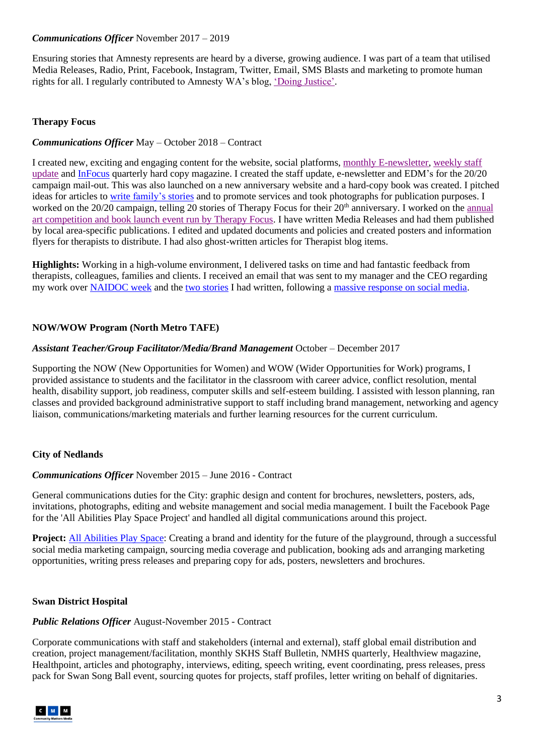# *Communications Officer* November 2017 – 2019

Ensuring stories that Amnesty represents are heard by a diverse, growing audience. I was part of a team that utilised Media Releases, Radio, Print, Facebook, Instagram, Twitter, Email, SMS Blasts and marketing to promote human rights for all. I regularly contributed to Amnesty WA's blog, ['Doing Justice'.](https://amnestywa.wordpress.com/2019/10/08/why-should-we-care-about-climate-change/)

# **Therapy Focus**

# *Communications Officer* May – October 2018 – Contract

I created new, exciting and engaging content for the website, social platforms[, monthly E-newsletter,](https://familyfocus.createsend.com/campaigns/reports/viewCampaign.aspx?d=d&c=3F14977023626E8E&ID=3C5E3CB4F1E3D3782540EF23F30FEDED&temp=False&tx=0) [weekly staff](https://therapyfocus.cmail20.com/t/ViewEmail/d/F3CEA1EB16701AEB2540EF23F30FEDED/3A87F595CB54B593981D23A7722F2DCD)  [update](https://therapyfocus.cmail20.com/t/ViewEmail/d/F3CEA1EB16701AEB2540EF23F30FEDED/3A87F595CB54B593981D23A7722F2DCD) an[d InFocus](https://communitymattersmedia.org/wp-content/uploads/2022/06/InFocus-Spring18-.pdf) quarterly hard copy magazine. I created the staff update, e-newsletter and EDM's for the 20/20 campaign mail-out. This was also launched on a new anniversary website and a hard-copy book was created. I pitched ideas for articles to write [family's stories](https://therapyfocus.org.au/latest-news/layla-gets-on-track-to-healthy-eating/) and to promote services and took photographs for publication purposes. I worked on the 20/20 campaign, telling 20 stories of Therapy Focus for their 20<sup>th</sup> anniversary. I worked on the annual [art competition and book launch event run by Therapy Focus.](https://therapyfocus.org.au/students-help-illustrate-storybook-about-kindness-and-inclusion/) I have written Media Releases and had them published by local area-specific publications. I edited and updated documents and policies and created posters and information flyers for therapists to distribute. I had also ghost-written articles for Therapist blog items.

**Highlights:** Working in a high-volume environment, I delivered tasks on time and had fantastic feedback from therapists, colleagues, families and clients. I received an email that was sent to my manager and the CEO regarding my work over [NAIDOC week](https://therapyfocus.org.au/latest-news/naidoc-week-celebrates-special-women) and the [two stories](https://www.facebook.com/therapyfocus/posts/1756003997788204) I had written, following a [massive response on social media.](https://www.facebook.com/therapyfocus/posts/1751681534887117)

# **NOW/WOW Program (North Metro TAFE)**

#### *Assistant Teacher/Group Facilitator/Media/Brand Management* October – December 2017

Supporting the NOW (New Opportunities for Women) and WOW (Wider Opportunities for Work) programs, I provided assistance to students and the facilitator in the classroom with career advice, conflict resolution, mental health, disability support, job readiness, computer skills and self-esteem building. I assisted with lesson planning, ran classes and provided background administrative support to staff including brand management, networking and agency liaison, communications/marketing materials and further learning resources for the current curriculum.

#### **City of Nedlands**

#### *Communications Officer* November 2015 – June 2016 - Contract

General communications duties for the City: graphic design and content for brochures, newsletters, posters, ads, invitations, photographs, editing and website management and social media management. I built the Facebook Page for the 'All Abilities Play Space Project' and handled all digital communications around this project.

**Project:** [All Abilities Play Space:](https://www.nedlands.wa.gov.au/media-release/new-name-and-now-open-jo-wheatley-all-abilities-play-space-becomes-reality) Creating a brand and identity for the future of the playground, through a successful social media marketing campaign, sourcing media coverage and publication, booking ads and arranging marketing opportunities, writing press releases and preparing copy for ads, posters, newsletters and brochures.

#### **Swan District Hospital**

#### *Public Relations Officer* August-November 2015 - Contract

Corporate communications with staff and stakeholders (internal and external), staff global email distribution and creation, project management/facilitation, monthly SKHS Staff Bulletin, NMHS quarterly, Healthview magazine, Healthpoint, articles and photography, interviews, editing, speech writing, event coordinating, press releases, press pack for Swan Song Ball event, sourcing quotes for projects, staff profiles, letter writing on behalf of dignitaries.

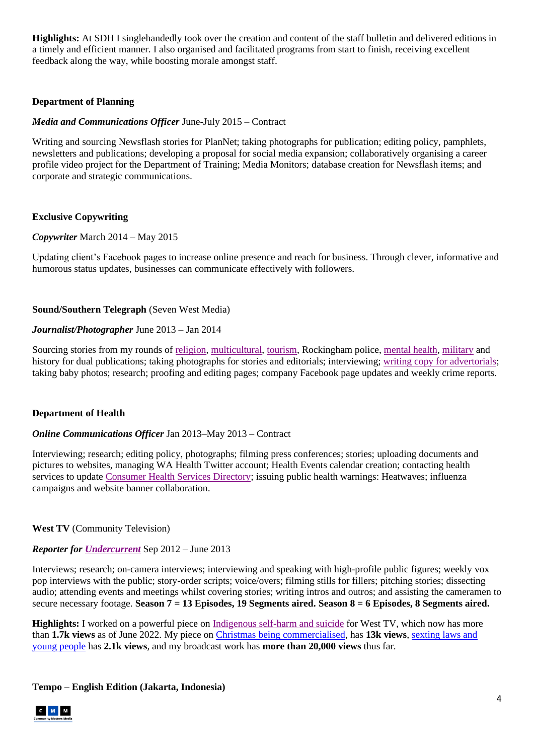**Highlights:** At SDH I singlehandedly took over the creation and content of the staff bulletin and delivered editions in a timely and efficient manner. I also organised and facilitated programs from start to finish, receiving excellent feedback along the way, while boosting morale amongst staff.

# **Department of Planning**

# *Media and Communications Officer* June-July 2015 – Contract

Writing and sourcing Newsflash stories for PlanNet; taking photographs for publication; editing policy, pamphlets, newsletters and publications; developing a proposal for social media expansion; collaboratively organising a career profile video project for the Department of Training; Media Monitors; database creation for Newsflash items; and corporate and strategic communications.

# **Exclusive Copywriting**

# *Copywriter* March 2014 – May 2015

Updating client's Facebook pages to increase online presence and reach for business. Through clever, informative and humorous status updates, businesses can communicate effectively with followers.

# **Sound/Southern Telegraph** (Seven West Media)

# *Journalist/Photographer* June 2013 – Jan 2014

Sourcing stories from my rounds of [religion,](https://thewest.com.au/news/peel-rockingham/new-minister-feels-at-peace-ng-ya-267709) [multicultural,](https://au.news.yahoo.com/muslims-celebrate-start-to-eid-18498413.html) [tourism,](https://thewest.com.au/countryman/horticulture/dobrees-nutty-business-ng-ya-267703) Rockingham police, [mental health,](https://au.news.yahoo.com/youth-focus-aims-to-prevent-suicide-19704975.html) [military](https://au.news.yahoo.com/community-observes-silence-in-honour-of-fallen-heroes-19809641.html) and history for dual publications; taking photographs for stories and editorials; interviewing; [writing copy for advertorials;](https://au.news.yahoo.com/bar-manager-looks-to-provide-stability-20383525.html) taking baby photos; research; proofing and editing pages; company Facebook page updates and weekly crime reports.

# **Department of Health**

#### *Online Communications Officer* Jan 2013–May 2013 – Contract

Interviewing; research; editing policy, photographs; filming press conferences; stories; uploading documents and pictures to websites, managing WA Health Twitter account; Health Events calendar creation; contacting health services to update [Consumer Health Services Directory;](http://www.health.wa.gov.au/services/) issuing public health warnings: Heatwaves; influenza campaigns and website banner collaboration.

# **West TV** (Community Television)

#### *Reporter for [Undercurrent](http://www.youtube.com/user/Rattigan5/videos)* Sep 2012 – June 2013

Interviews; research; on-camera interviews; interviewing and speaking with high-profile public figures; weekly vox pop interviews with the public; story-order scripts; voice/overs; filming stills for fillers; pitching stories; dissecting audio; attending events and meetings whilst covering stories; writing intros and outros; and assisting the cameramen to secure necessary footage. **Season 7 = 13 Episodes, 19 Segments aired. Season 8 = 6 Episodes, 8 Segments aired.**

**Highlights:** I worked on a powerful piece on [Indigenous self-harm and suicide](https://www.youtube.com/watch?v=_EUdpK88LjU) for West TV, which now has more than **1.7k views** as of June 2022. My piece o[n Christmas being commercialised,](https://www.youtube.com/watch?v=oSsrPMQdS7Q) has **13k views**, [sexting laws and](https://www.youtube.com/watch?v=9Dujr281SQ0&t=77s)  [young people](https://www.youtube.com/watch?v=9Dujr281SQ0&t=77s) has **2.1k views**, and my broadcast work has **more than 20,000 views** thus far.

#### **Tempo – English Edition (Jakarta, Indonesia)**